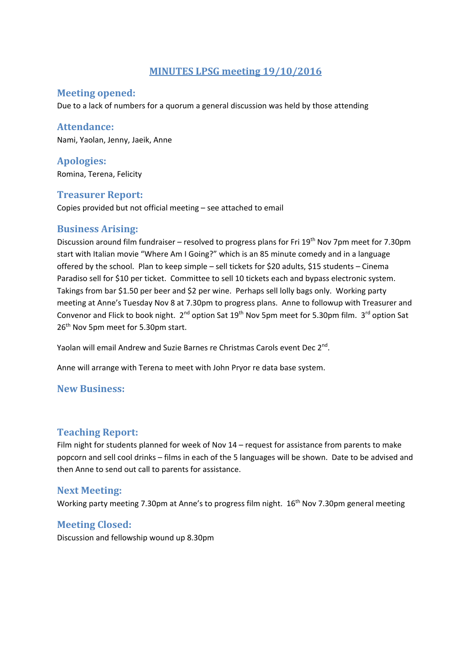## **MINUTES LPSG meeting 19/10/2016**

#### **Meeting opened:**

Due to a lack of numbers for a quorum a general discussion was held by those attending

#### **Attendance:**

Nami, Yaolan, Jenny, Jaeik, Anne

**Apologies:**  Romina, Terena, Felicity

## **Treasurer Report:**

Copies provided but not official meeting – see attached to email

## **Business Arising:**

Discussion around film fundraiser – resolved to progress plans for Fri 19<sup>th</sup> Nov 7pm meet for 7.30pm start with Italian movie "Where Am I Going?" which is an 85 minute comedy and in a language offered by the school. Plan to keep simple – sell tickets for \$20 adults, \$15 students – Cinema Paradiso sell for \$10 per ticket. Committee to sell 10 tickets each and bypass electronic system. Takings from bar \$1.50 per beer and \$2 per wine. Perhaps sell lolly bags only. Working party meeting at Anne's Tuesday Nov 8 at 7.30pm to progress plans. Anne to followup with Treasurer and Convenor and Flick to book night. 2<sup>nd</sup> option Sat 19<sup>th</sup> Nov 5pm meet for 5.30pm film. 3<sup>rd</sup> option Sat 26<sup>th</sup> Nov 5pm meet for 5.30pm start.

Yaolan will email Andrew and Suzie Barnes re Christmas Carols event Dec 2<sup>nd</sup>.

Anne will arrange with Terena to meet with John Pryor re data base system.

#### **New Business:**

#### **Teaching Report:**

Film night for students planned for week of Nov 14 – request for assistance from parents to make popcorn and sell cool drinks – films in each of the 5 languages will be shown. Date to be advised and then Anne to send out call to parents for assistance.

#### **Next Meeting:**

Working party meeting 7.30pm at Anne's to progress film night. 16<sup>th</sup> Nov 7.30pm general meeting

#### **Meeting Closed:**

Discussion and fellowship wound up 8.30pm